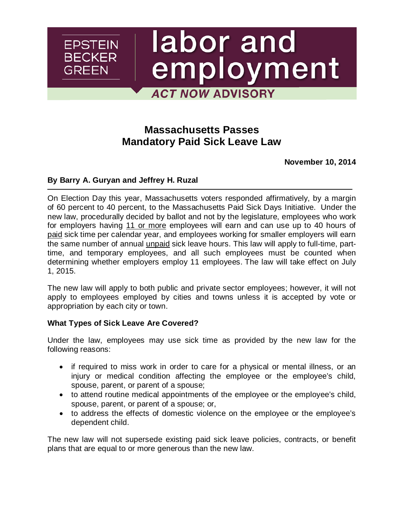# labor and employment **ACT NOW ADVISORY**

## **Massachusetts Passes Mandatory Paid Sick Leave Law**

**November 10, 2014**

#### **By [Barry A. Guryan](http://www.ebglaw.com/barry-a-guryan/) and [Jeffrey H. Ruzal](http://www.ebglaw.com/jeffrey-h-ruzal/)**

**EPSTEIN BECKER** 

GREEN

On Election Day this year, Massachusetts voters responded affirmatively, by a margin of 60 percent to 40 percent, to the Massachusetts Paid Sick Days Initiative. Under the new law, procedurally decided by ballot and not by the legislature, employees who work for employers having 11 or more employees will earn and can use up to 40 hours of paid sick time per calendar year, and employees working for smaller employers will earn the same number of annual unpaid sick leave hours. This law will apply to full-time, parttime, and temporary employees, and all such employees must be counted when determining whether employers employ 11 employees. The law will take effect on July 1, 2015.

The new law will apply to both public and private sector employees; however, it will not apply to employees employed by cities and towns unless it is accepted by vote or appropriation by each city or town.

#### **What Types of Sick Leave Are Covered?**

Under the law, employees may use sick time as provided by the new law for the following reasons:

- if required to miss work in order to care for a physical or mental illness, or an injury or medical condition affecting the employee or the employee's child, spouse, parent, or parent of a spouse;
- to attend routine medical appointments of the employee or the employee's child, spouse, parent, or parent of a spouse; or,
- to address the effects of domestic violence on the employee or the employee's dependent child.

The new law will not supersede existing paid sick leave policies, contracts, or benefit plans that are equal to or more generous than the new law.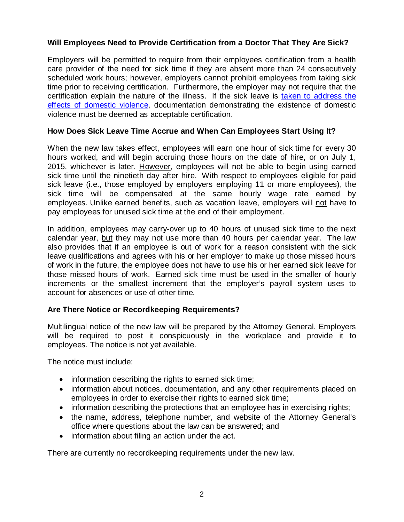#### **Will Employees Need to Provide Certification from a Doctor That They Are Sick?**

Employers will be permitted to require from their employees certification from a health care provider of the need for sick time if they are absent more than 24 consecutively scheduled work hours; however, employers cannot prohibit employees from taking sick time prior to receiving certification. Furthermore, the employer may not require that the certification explain the nature of the illness. If the sick leave is [taken to address the](http://www.ebglaw.com/publications/massachusetts-now-requires-employers-to-provide-domestic-violence-leave/)  [effects of domestic violence,](http://www.ebglaw.com/publications/massachusetts-now-requires-employers-to-provide-domestic-violence-leave/) documentation demonstrating the existence of domestic violence must be deemed as acceptable certification.

#### **How Does Sick Leave Time Accrue and When Can Employees Start Using It?**

When the new law takes effect, employees will earn one hour of sick time for every 30 hours worked, and will begin accruing those hours on the date of hire, or on July 1, 2015, whichever is later. However, employees will not be able to begin using earned sick time until the ninetieth day after hire. With respect to employees eligible for paid sick leave (i.e., those employed by employers employing 11 or more employees), the sick time will be compensated at the same hourly wage rate earned by employees. Unlike earned benefits, such as vacation leave, employers will not have to pay employees for unused sick time at the end of their employment.

In addition, employees may carry-over up to 40 hours of unused sick time to the next calendar year, but they may not use more than 40 hours per calendar year. The law also provides that if an employee is out of work for a reason consistent with the sick leave qualifications and agrees with his or her employer to make up those missed hours of work in the future, the employee does not have to use his or her earned sick leave for those missed hours of work. Earned sick time must be used in the smaller of hourly increments or the smallest increment that the employer's payroll system uses to account for absences or use of other time.

### **Are There Notice or Recordkeeping Requirements?**

Multilingual notice of the new law will be prepared by the Attorney General. Employers will be required to post it conspicuously in the workplace and provide it to employees. The notice is not yet available.

The notice must include:

- information describing the rights to earned sick time;
- information about notices, documentation, and any other requirements placed on employees in order to exercise their rights to earned sick time;
- information describing the protections that an employee has in exercising rights;
- the name, address, telephone number, and website of the Attorney General's office where questions about the law can be answered; and
- information about filing an action under the act.

There are currently no recordkeeping requirements under the new law.